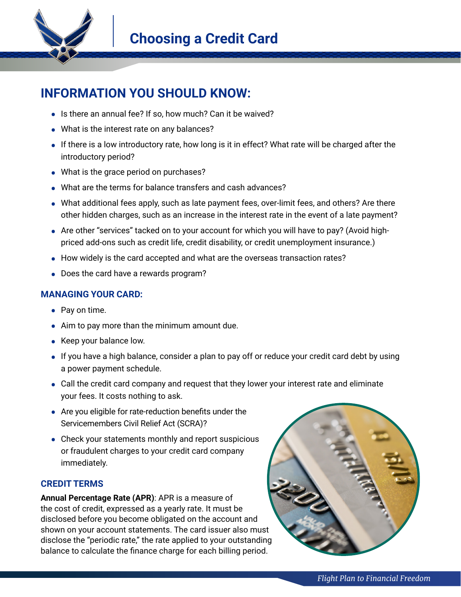

## **INFORMATION YOU SHOULD KNOW:**

- **•** Is there an annual fee? If so, how much? Can it be waived?
- **•** What is the interest rate on any balances?
- **•** If there is a low introductory rate, how long is it in effect? What rate will be charged after the introductory period?
- **•** What is the grace period on purchases?
- **•** What are the terms for balance transfers and cash advances?
- **•** What additional fees apply, such as late payment fees, over-limit fees, and others? Are there other hidden charges, such as an increase in the interest rate in the event of a late payment?
- **•** Are other "services" tacked on to your account for which you will have to pay? (Avoid highpriced add-ons such as credit life, credit disability, or credit unemployment insurance.)
- **•** How widely is the card accepted and what are the overseas transaction rates?
- **•** Does the card have a rewards program?

## **MANAGING YOUR CARD:**

- **•** Pay on time.
- **•** Aim to pay more than the minimum amount due.
- **•** Keep your balance low.
- If you have a high balance, consider a plan to pay off or reduce your credit card debt by using a power payment schedule.
- **•** Call the credit card company and request that they lower your interest rate and eliminate your fees. It costs nothing to ask.
- **•** Are you eligible for rate-reduction benefits under the Servicemembers Civil Relief Act (SCRA)?
- **•** Check your statements monthly and report suspicious or fraudulent charges to your credit card company immediately.

## **CREDIT TERMS**

**Annual Percentage Rate (APR)**: APR is a measure of the cost of credit, expressed as a yearly rate. It must be disclosed before you become obligated on the account and shown on your account statements. The card issuer also must disclose the "periodic rate," the rate applied to your outstanding balance to calculate the finance charge for each billing period.